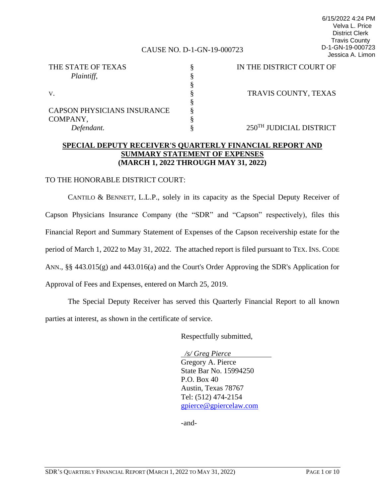#### CAUSE NO. D-1-GN-19-000723

| THE STATE OF TEXAS                 | IN THE DISTRICT COURT OF |
|------------------------------------|--------------------------|
| Plaintiff,                         |                          |
|                                    |                          |
| V.                                 | TRAVIS COUNTY, TEXAS     |
|                                    |                          |
| <b>CAPSON PHYSICIANS INSURANCE</b> |                          |
| COMPANY,                           |                          |
| Defendant.                         | 250TH JUDICIAL DISTRICT  |

# **SPECIAL DEPUTY RECEIVER'S QUARTERLY FINANCIAL REPORT AND SUMMARY STATEMENT OF EXPENSES (MARCH 1, 2022 THROUGH MAY 31, 2022)**

#### TO THE HONORABLE DISTRICT COURT:

CANTILO & BENNETT, L.L.P., solely in its capacity as the Special Deputy Receiver of Capson Physicians Insurance Company (the "SDR" and "Capson" respectively), files this Financial Report and Summary Statement of Expenses of the Capson receivership estate for the period of March 1, 2022 to May 31, 2022. The attached report is filed pursuant to TEX. INS. CODE ANN., §§ 443.015(g) and 443.016(a) and the Court's Order Approving the SDR's Application for Approval of Fees and Expenses, entered on March 25, 2019.

The Special Deputy Receiver has served this Quarterly Financial Report to all known parties at interest, as shown in the certificate of service.

Respectfully submitted,

 */s/ Greg Pierce* Gregory A. Pierce State Bar No. 15994250 P.O. Box 40 Austin, Texas 78767 Tel: (512) 474-2154 gpierce@gpiercelaw.com

-and-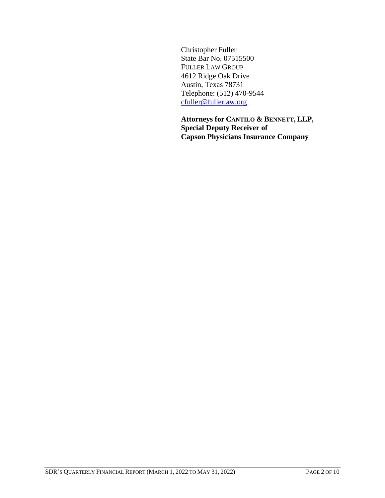Christopher Fuller State Bar No. 07515500 FULLER LAW GROUP 4612 Ridge Oak Drive Austin, Texas 78731 Telephone: (512) 470-9544 cfuller@fullerlaw.org

**Attorneys for CANTILO & BENNETT, LLP, Special Deputy Receiver of Capson Physicians Insurance Company**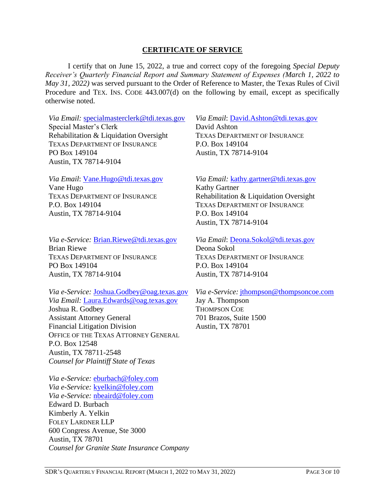# **CERTIFICATE OF SERVICE**

I certify that on June 15, 2022, a true and correct copy of the foregoing *Special Deputy Receiver's Quarterly Financial Report and Summary Statement of Expenses (March 1, 2022 to May 31, 2022)* was served pursuant to the Order of Reference to Master, the Texas Rules of Civil Procedure and TEX. INS. CODE 443.007(d) on the following by email, except as specifically otherwise noted.

*Via Email:* specialmasterclerk@tdi.texas.gov Special Master's Clerk Rehabilitation & Liquidation Oversight TEXAS DEPARTMENT OF INSURANCE PO Box 149104 Austin, TX 78714-9104

*Via Email*: Vane.Hugo@tdi.texas.gov Vane Hugo TEXAS DEPARTMENT OF INSURANCE P.O. Box 149104 Austin, TX 78714-9104

*Via e-Service:* Brian.Riewe@tdi.texas.gov Brian Riewe TEXAS DEPARTMENT OF INSURANCE PO Box 149104 Austin, TX 78714-9104

*Via e-Service:* Joshua.Godbey@oag.texas.gov *Via Email:* Laura.Edwards@oag.texas.gov Joshua R. Godbey Assistant Attorney General Financial Litigation Division OFFICE OF THE TEXAS ATTORNEY GENERAL P.O. Box 12548 Austin, TX 78711-2548 *Counsel for Plaintiff State of Texas*

*Via e-Service:* eburbach@foley.com *Via e-Service:* kyelkin@foley.com *Via e-Service:* nbeaird@foley.com Edward D. Burbach Kimberly A. Yelkin FOLEY LARDNER LLP 600 Congress Avenue, Ste 3000 Austin, TX 78701 *Counsel for Granite State Insurance Company*

*Via Email*: David.Ashton@tdi.texas.gov David Ashton TEXAS DEPARTMENT OF INSURANCE P.O. Box 149104 Austin, TX 78714-9104

*Via Email:* kathy.gartner@tdi.texas.gov Kathy Gartner Rehabilitation & Liquidation Oversight TEXAS DEPARTMENT OF INSURANCE P.O. Box 149104 Austin, TX 78714-9104

*Via Email*: Deona.Sokol@tdi.texas.gov Deona Sokol TEXAS DEPARTMENT OF INSURANCE P.O. Box 149104 Austin, TX 78714-9104

*Via e-Service:* jthompson@thompsoncoe.com

Jay A. Thompson THOMPSON COE 701 Brazos, Suite 1500 Austin, TX 78701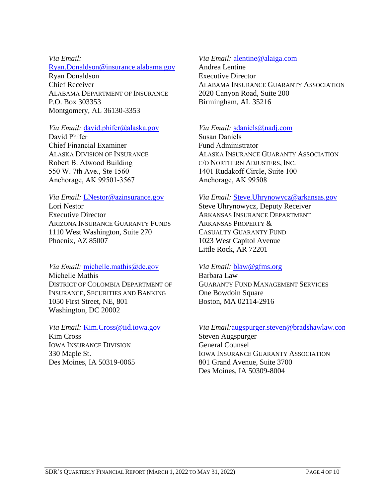### *Via Email:*

#### Ryan.Donaldson@insurance.alabama.gov

Ryan Donaldson Chief Receiver ALABAMA DEPARTMENT OF INSURANCE P.O. Box 303353 Montgomery, AL 36130-3353

#### *Via Email:* david.phifer@alaska.gov

David Phifer Chief Financial Examiner ALASKA DIVISION OF INSURANCE Robert B. Atwood Building 550 W. 7th Ave., Ste 1560 Anchorage, AK 99501-3567

# *Via Email:* LNestor@azinsurance.gov

Lori Nestor Executive Director ARIZONA INSURANCE GUARANTY FUNDS 1110 West Washington, Suite 270 Phoenix, AZ 85007

# *Via Email:* michelle.mathis@dc.gov Michelle Mathis DISTRICT OF COLOMBIA DEPARTMENT OF INSURANCE, SECURITIES AND BANKING 1050 First Street, NE, 801 Washington, DC 20002

*Via Email:* Kim.Cross@iid.iowa.gov Kim Cross IOWA INSURANCE DIVISION 330 Maple St. Des Moines, IA 50319-0065

# *Via Email:* alentine@alaiga.com

Andrea Lentine Executive Director ALABAMA INSURANCE GUARANTY ASSOCIATION 2020 Canyon Road, Suite 200 Birmingham, AL 35216

# *Via Email:* sdaniels@nadj.com

Susan Daniels Fund Administrator ALASKA INSURANCE GUARANTY ASSOCIATION C/O NORTHERN ADJUSTERS, INC. 1401 Rudakoff Circle, Suite 100 Anchorage, AK 99508

#### *Via Email:* Steve.Uhrynowycz@arkansas.gov

Steve Uhrynowycz, Deputy Receiver ARKANSAS INSURANCE DEPARTMENT ARKANSAS PROPERTY & CASUALTY GUARANTY FUND 1023 West Capitol Avenue Little Rock, AR 72201

### *Via Email:* blaw@gfms.org

Barbara Law GUARANTY FUND MANAGEMENT SERVICES One Bowdoin Square Boston, MA 02114-2916

# *Via Email:*augspurger.steven@bradshawlaw.com

Steven Augspurger General Counsel IOWA INSURANCE GUARANTY ASSOCIATION 801 Grand Avenue, Suite 3700 Des Moines, IA 50309-8004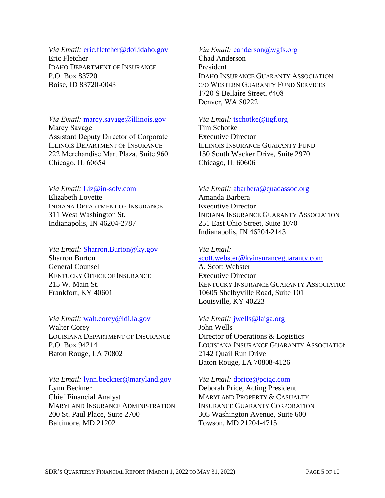#### *Via Email:* eric.fletcher@doi.idaho.gov

Eric Fletcher IDAHO DEPARTMENT OF INSURANCE P.O. Box 83720 Boise, ID 83720-0043

# *Via Email:* marcy.savage@illinois.gov Marcy Savage Assistant Deputy Director of Corporate ILLINOIS DEPARTMENT OF INSURANCE 222 Merchandise Mart Plaza, Suite 960 Chicago, IL 60654

# *Via Email:* Liz@in-solv.com

Elizabeth Lovette INDIANA DEPARTMENT OF INSURANCE 311 West Washington St. Indianapolis, IN 46204-2787

# *Via Email:* Sharron.Burton@ky.gov Sharron Burton General Counsel KENTUCKY OFFICE OF INSURANCE

215 W. Main St. Frankfort, KY 40601

# *Via Email:* walt.corey@ldi.la.gov

Walter Corey LOUISIANA DEPARTMENT OF INSURANCE P.O. Box 94214 Baton Rouge, LA 70802

### *Via Email:* lynn.beckner@maryland.gov

Lynn Beckner Chief Financial Analyst MARYLAND INSURANCE ADMINISTRATION 200 St. Paul Place, Suite 2700 Baltimore, MD 21202

# Via Email: canderson@wgfs.org

Chad Anderson President IDAHO INSURANCE GUARANTY ASSOCIATION C/O WESTERN GUARANTY FUND SERVICES 1720 S Bellaire Street, #408 Denver, WA 80222

## *Via Email:* tschotke@iigf.org

Tim Schotke Executive Director ILLINOIS INSURANCE GUARANTY FUND 150 South Wacker Drive, Suite 2970 Chicago, IL 60606

# *Via Email:* abarbera@quadassoc.org

Amanda Barbera Executive Director INDIANA INSURANCE GUARANTY ASSOCIATION 251 East Ohio Street, Suite 1070 Indianapolis, IN 46204-2143

## *Via Email:*

# scott.webster@kyinsuranceguaranty.com

A. Scott Webster Executive Director KENTUCKY INSURANCE GUARANTY ASSOCIATION 10605 Shelbyville Road, Suite 101 Louisville, KY 40223

# *Via Email:* jwells@laiga.org

John Wells Director of Operations & Logistics LOUISIANA INSURANCE GUARANTY ASSOCIATION 2142 Quail Run Drive Baton Rouge, LA 70808-4126

### *Via Email:* dprice@pcigc.com

Deborah Price, Acting President MARYLAND PROPERTY & CASUALTY INSURANCE GUARANTY CORPORATION 305 Washington Avenue, Suite 600 Towson, MD 21204-4715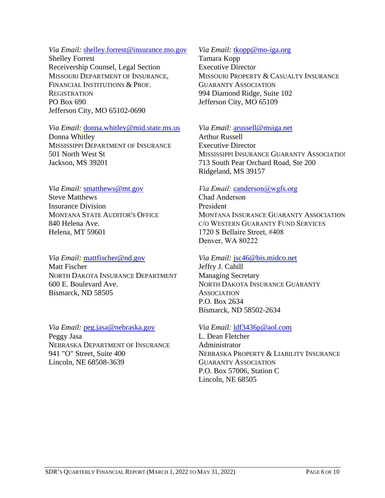### *Via Email:* shelley.forrest@insurance.mo.gov

Shelley Forrest Receivership Counsel, Legal Section MISSOURI DEPARTMENT OF INSURANCE, FINANCIAL INSTITUTIONS & PROF. **REGISTRATION** PO Box 690 Jefferson City, MO 65102-0690

## *Via Email:* donna.whitley@mid.state.ms.us

Donna Whitley MISSISSIPPI DEPARTMENT OF INSURANCE 501 North West St Jackson, MS 39201

### *Via Email:* smatthews@mt.gov

Steve Matthews Insurance Division MONTANA STATE AUDITOR'S OFFICE 840 Helena Ave. Helena, MT 59601

### *Via Email:* mattfischer@nd.gov

Matt Fischer NORTH DAKOTA INSURANCE DEPARTMENT 600 E. Boulevard Ave. Bismarck, ND 58505

*Via Email:* peg.jasa@nebraska.gov Peggy Jasa NEBRASKA DEPARTMENT OF INSURANCE 941 "O" Street, Suite 400 Lincoln, NE 68508-3639

### *Via Email:* tkopp@mo-iga.org

Tamara Kopp Executive Director MISSOURI PROPERTY & CASUALTY INSURANCE GUARANTY ASSOCIATION 994 Diamond Ridge, Suite 102 Jefferson City, MO 65109

# *Via Email:* arussell@msiga.net

Arthur Russell Executive Director MISSISSIPPI INSURANCE GUARANTY ASSOCIATION 713 South Pear Orchard Road, Ste 200 Ridgeland, MS 39157

# *Via Email:* canderson@wgfs.org

Chad Anderson President MONTANA INSURANCE GUARANTY ASSOCIATION C/O WESTERN GUARANTY FUND SERVICES 1720 S Bellaire Street, #408 Denver, WA 80222

### *Via Email:* jsc46@bis.midco.net

Jeffry J. Cahill Managing Secretary NORTH DAKOTA INSURANCE GUARANTY **ASSOCIATION** P.O. Box 2634 Bismarck, ND 58502-2634

### *Via Email:* ldf3436p@aol.com

L. Dean Fletcher Administrator NEBRASKA PROPERTY & LIABILITY INSURANCE GUARANTY ASSOCIATION P.O. Box 57006, Station C Lincoln, NE 68505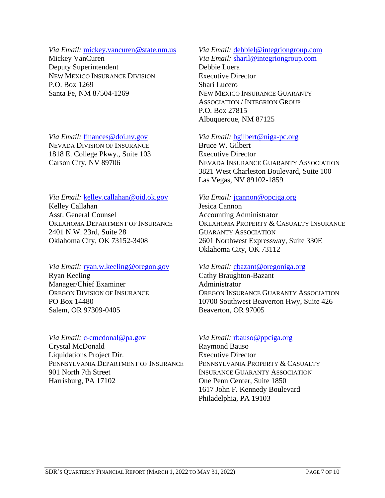#### *Via Email:* mickey.vancuren@state.nm.us

Mickey VanCuren Deputy Superintendent NEW MEXICO INSURANCE DIVISION P.O. Box 1269 Santa Fe, NM 87504-1269

*Via Email:* finances@doi.nv.gov NEVADA DIVISION OF INSURANCE 1818 E. College Pkwy., Suite 103 Carson City, NV 89706

*Via Email:* kelley.callahan@oid.ok.gov Kelley Callahan Asst. General Counsel OKLAHOMA DEPARTMENT OF INSURANCE 2401 N.W. 23rd, Suite 28 Oklahoma City, OK 73152-3408

*Via Email:* ryan.w.keeling@oregon.gov Ryan Keeling Manager/Chief Examiner OREGON DIVISION OF INSURANCE PO Box 14480 Salem, OR 97309-0405

# *Via Email:* c-cmcdonal@pa.gov

Crystal McDonald Liquidations Project Dir. PENNSYLVANIA DEPARTMENT OF INSURANCE 901 North 7th Street Harrisburg, PA 17102

# *Via Email:* debbiel@integriongroup.com

*Via Email:* sharil@integriongroup.com Debbie Luera Executive Director Shari Lucero NEW MEXICO INSURANCE GUARANTY ASSOCIATION / INTEGRION GROUP P.O. Box 27815 Albuquerque, NM 87125

# *Via Email:* bgilbert@niga-pc.org

Bruce W. Gilbert Executive Director NEVADA INSURANCE GUARANTY ASSOCIATION 3821 West Charleston Boulevard, Suite 100 Las Vegas, NV 89102-1859

# *Via Email:* jcannon@opciga.org

Jesica Cannon Accounting Administrator OKLAHOMA PROPERTY & CASUALTY INSURANCE GUARANTY ASSOCIATION 2601 Northwest Expressway, Suite 330E Oklahoma City, OK 73112

### *Via Email:* cbazant@oregoniga.org

Cathy Braughton-Bazant Administrator OREGON INSURANCE GUARANTY ASSOCIATION 10700 Southwest Beaverton Hwy, Suite 426 Beaverton, OR 97005

### *Via Email:* rbauso@ppciga.org

Raymond Bauso Executive Director PENNSYLVANIA PROPERTY & CASUALTY INSURANCE GUARANTY ASSOCIATION One Penn Center, Suite 1850 1617 John F. Kennedy Boulevard Philadelphia, PA 19103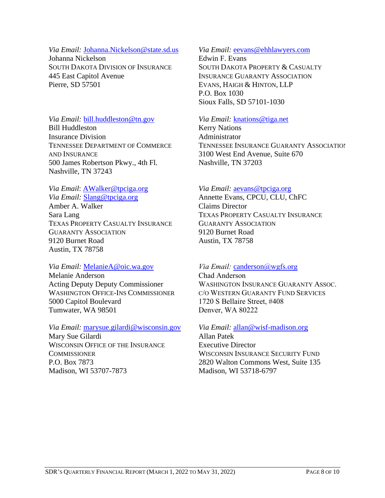#### *Via Email:* Johanna.Nickelson@state.sd.us

Johanna Nickelson SOUTH DAKOTA DIVISION OF INSURANCE 445 East Capitol Avenue Pierre, SD 57501

# *Via Email:* bill.huddleston@tn.gov Bill Huddleston Insurance Division TENNESSEE DEPARTMENT OF COMMERCE AND INSURANCE 500 James Robertson Pkwy., 4th Fl. Nashville, TN 37243

#### *Via Email*: AWalker@tpciga.org

*Via Email:* Slang@tpciga.org Amber A. Walker Sara Lang TEXAS PROPERTY CASUALTY INSURANCE GUARANTY ASSOCIATION 9120 Burnet Road Austin, TX 78758

### *Via Email:* MelanieA@oic.wa.gov

Melanie Anderson Acting Deputy Deputy Commissioner WASHINGTON OFFICE-INS COMMISSIONER 5000 Capitol Boulevard Tumwater, WA 98501

# *Via Email:* marysue.gilardi@wisconsin.gov Mary Sue Gilardi WISCONSIN OFFICE OF THE INSURANCE **COMMISSIONER** P.O. Box 7873 Madison, WI 53707-7873

### *Via Email:* eevans@ehhlawyers.com

Edwin F. Evans SOUTH DAKOTA PROPERTY & CASUALTY INSURANCE GUARANTY ASSOCIATION EVANS, HAIGH & HINTON, LLP P.O. Box 1030 Sioux Falls, SD 57101-1030

#### *Via Email:* knations@tiga.net

Kerry Nations Administrator TENNESSEE INSURANCE GUARANTY ASSOCIATION 3100 West End Avenue, Suite 670 Nashville, TN 37203

### *Via Email:* aevans@tpciga.org

Annette Evans, CPCU, CLU, ChFC Claims Director TEXAS PROPERTY CASUALTY INSURANCE GUARANTY ASSOCIATION 9120 Burnet Road Austin, TX 78758

### *Via Email:* canderson@wgfs.org

Chad Anderson WASHINGTON INSURANCE GUARANTY ASSOC. C/O WESTERN GUARANTY FUND SERVICES 1720 S Bellaire Street, #408 Denver, WA 80222

### *Via Email:* allan@wisf-madison.org

Allan Patek Executive Director WISCONSIN INSURANCE SECURITY FUND 2820 Walton Commons West, Suite 135 Madison, WI 53718-6797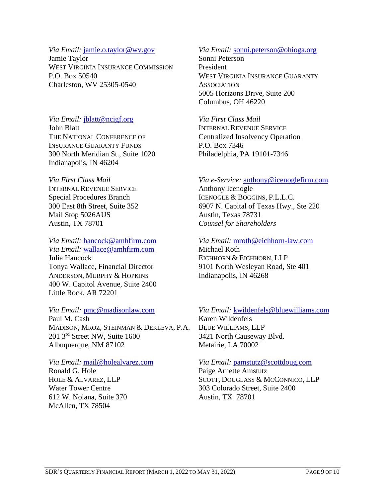### *Via Email:* jamie.o.taylor@wv.gov

Jamie Taylor WEST VIRGINIA INSURANCE COMMISSION P.O. Box 50540 Charleston, WV 25305-0540

*Via Email:* jblatt@ncigf.org John Blatt THE NATIONAL CONFERENCE OF INSURANCE GUARANTY FUNDS 300 North Meridian St., Suite 1020 Indianapolis, IN 46204

*Via First Class Mail* INTERNAL REVENUE SERVICE Special Procedures Branch 300 East 8th Street, Suite 352 Mail Stop 5026AUS Austin, TX 78701

*Via Email:* hancock@amhfirm.com *Via Email:* wallace@amhfirm.com Julia Hancock Tonya Wallace, Financial Director ANDERSON, MURPHY & HOPKINS 400 W. Capitol Avenue, Suite 2400 Little Rock, AR 72201

#### *Via Email:* pmc@madisonlaw.com

Paul M. Cash MADISON, MROZ, STEINMAN & DEKLEVA, P.A. 201 3rd Street NW, Suite 1600 Albuquerque, NM 87102

*Via Email:* mail@holealvarez.com Ronald G. Hole HOLE & ALVAREZ, LLP

Water Tower Centre 612 W. Nolana, Suite 370 McAllen, TX 78504

# *Via Email:* sonni.peterson@ohioga.org

Sonni Peterson President WEST VIRGINIA INSURANCE GUARANTY **ASSOCIATION** 5005 Horizons Drive, Suite 200 Columbus, OH 46220

*Via First Class Mail* INTERNAL REVENUE SERVICE Centralized Insolvency Operation P.O. Box 7346 Philadelphia, PA 19101-7346

# *Via e-Service:* anthony@icenoglefirm.com

Anthony Icenogle ICENOGLE & BOGGINS, P.L.L.C. 6907 N. Capital of Texas Hwy., Ste 220 Austin, Texas 78731 *Counsel for Shareholders*

*Via Email:* mroth@eichhorn-law.com Michael Roth EICHHORN & EICHHORN, LLP 9101 North Wesleyan Road, Ste 401 Indianapolis, IN 46268

*Via Email:* kwildenfels@bluewilliams.com Karen Wildenfels BLUE WILLIAMS, LLP 3421 North Causeway Blvd. Metairie, LA 70002

*Via Email:* pamstutz@scottdoug.com

Paige Arnette Amstutz SCOTT, DOUGLASS & MCCONNICO, LLP 303 Colorado Street, Suite 2400 Austin, TX 78701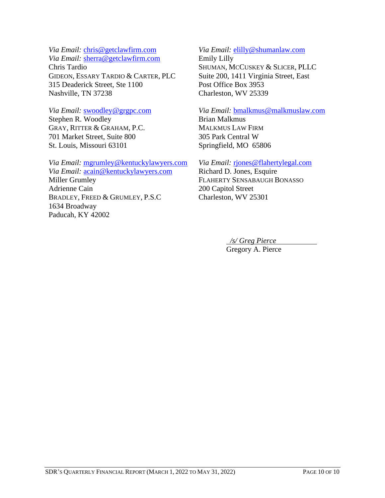*Via Email:* chris@getclawfirm.com

*Via Email:* sherra@getclawfirm.com Chris Tardio GIDEON, ESSARY TARDIO & CARTER, PLC 315 Deaderick Street, Ste 1100 Nashville, TN 37238

*Via Email:* swoodley@grgpc.com Stephen R. Woodley GRAY, RITTER & GRAHAM, P.C. 701 Market Street, Suite 800 St. Louis, Missouri 63101

*Via Email:* mgrumley@kentuckylawyers.com *Via Email:* acain@kentuckylawyers.com Miller Grumley Adrienne Cain BRADLEY, FREED & GRUMLEY, P.S.C 1634 Broadway Paducah, KY 42002

#### *Via Email:* elilly@shumanlaw.com

Emily Lilly SHUMAN, MCCUSKEY & SLICER, PLLC Suite 200, 1411 Virginia Street, East Post Office Box 3953 Charleston, WV 25339

*Via Email:* bmalkmus@malkmuslaw.com Brian Malkmus MALKMUS LAW FIRM 305 Park Central W Springfield, MO 65806

*Via Email:* rjones@flahertylegal.com

Richard D. Jones, Esquire FLAHERTY SENSABAUGH BONASSO 200 Capitol Street Charleston, WV 25301

*/s/ Greg Pierce*

Gregory A. Pierce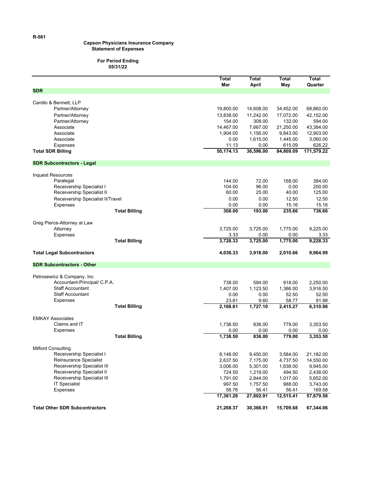#### **Capson Physicians Insurance Company Statement of Expenses**

#### **For Period Ending 05/31/22**

|                                        | Total<br>Mar     | Total<br>April | Total<br>May   | Total<br>Quarter |
|----------------------------------------|------------------|----------------|----------------|------------------|
| <b>SDR</b>                             |                  |                |                |                  |
|                                        |                  |                |                |                  |
| Cantilo & Bennett, LLP                 |                  |                |                |                  |
| Partner/Attorney                       | 19,800.00        | 14,608.00      | 34,452.00      | 68,860.00        |
| Partner/Attorney                       | 13,838.00        | 11,242.00      | 17,072.00      | 42,152.00        |
| Partner/Attorney                       | 154.00           | 308.00         | 132.00         | 594.00           |
| Associate                              | 14,467.00        | 7,667.00       | 21,250.00      | 43,384.00        |
| Associate                              | 1,904.00         | 1,156.00       | 9,843.00       | 12,903.00        |
| Associate                              | 0.00             | 1,615.00       | 1,445.00       | 3,060.00         |
| Expenses                               | 11.13            | 0.00           | 615.09         | 626.22           |
| <b>Total SDR Billing</b>               | 50,174.13        | 36,596.00      | 84,809.09      | 171,579.22       |
| <b>SDR Subcontractors - Legal</b>      |                  |                |                |                  |
|                                        |                  |                |                |                  |
| <b>Inquest Resources</b>               |                  |                |                |                  |
| Paralegal<br>Receivership Specialist I | 144.00<br>104.00 | 72.00<br>96.00 | 168.00<br>0.00 | 384.00<br>200.00 |
| Receivership Specialist II             | 60.00            | 25.00          | 40.00          | 125.00           |
| Receivership Specialist II/Travel      | 0.00             | 0.00           | 12.50          | 12.50            |
| <b>Expenses</b>                        | 0.00             | 0.00           | 15.16          | 15.16            |
| <b>Total Billing</b>                   | 308.00           | 193.00         | 235.66         | 736.66           |
|                                        |                  |                |                |                  |
| Greg Pierce-Attorney at Law            |                  |                |                |                  |
| Attorney                               | 3,725.00         | 3.725.00       | 1,775.00       | 9,225.00         |
| Expenses                               | 3.33             | 0.00           | 0.00           | 3.33             |
| <b>Total Billing</b>                   | 3,728.33         | 3,725.00       | 1,775.00       | 9,228.33         |
| <b>Total Legal Subcontractors</b>      | 4,036.33         | 3,918.00       | 2,010.66       | 9,964.99         |
| <b>SDR Subcontractors - Other</b>      |                  |                |                |                  |
|                                        |                  |                |                |                  |
| Petrosewicz & Company, Inc.            |                  |                |                |                  |
| Accountant-Principal/ C.P.A.           | 738.00           | 594.00         | 918.00         | 2,250.00         |
| <b>Staff Accountant</b>                | 1,407.00         | 1,123.50       | 1,386.00       | 3,916.50         |
| <b>Staff Accountant</b>                | 0.00             | 0.00           | 52.50          | 52.50            |
| <b>Expenses</b>                        | 23.61            | 9.60           | 58.77          | 91.98            |
| <b>Total Billing</b>                   | 2,168.61         | 1,727.10       | 2,415.27       | 6,310.98         |
|                                        |                  |                |                |                  |
| <b>EMKAY Associates</b>                |                  |                |                |                  |
| Claims and IT                          | 1,738.50         | 836.00         | 779.00         | 3,353.50         |
| <b>Expenses</b>                        | 0.00             | 0.00           | 0.00           | 0.00             |
| <b>Total Billing</b>                   | 1,738.50         | 836.00         | 779.00         | 3,353.50         |
| <b>Milford Consulting</b>              |                  |                |                |                  |
| Receivership Specialist I              | 8,148.00         | 9,450.00       | 3,584.00       | 21,182.00        |
| Reinsurance Specialist                 | 2,637.50         | 7,175.00       | 4,737.50       | 14,550.00        |
| Receivership Specialist III            | 3,006.00         | 5,301.00       | 1,638.00       | 9,945.00         |
| Receivership Specialist II             | 724.50           | 1,219.00       | 494.50         | 2,438.00         |
| Receivership Specialist III            | 1,791.00         | 2,844.00       | 1,017.00       | 5,652.00         |
| <b>IT Specialist</b>                   | 997.50           | 1,757.50       | 988.00         | 3,743.00         |
| Expenses                               | 56.76            | 56.41          | 56.41          | 169.58           |
|                                        | 17,361.26        | 27,802.91      | 12,515.41      | 57,679.58        |
| <b>Total Other SDR Subcontractors</b>  | 21,268.37        | 30,366.01      | 15,709.68      | 67,344.06        |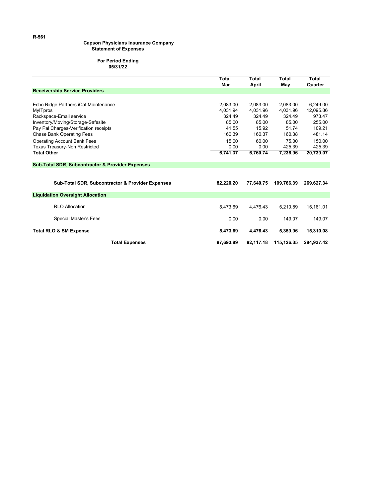#### **Capson Physicians Insurance Company Statement of Expenses**

#### **For Period Ending 05/31/22**

|                                                             | Total<br>Mar | Total<br>April | Total<br>May | Total<br>Quarter |
|-------------------------------------------------------------|--------------|----------------|--------------|------------------|
| <b>Receivership Service Providers</b>                       |              |                |              |                  |
|                                                             |              |                |              |                  |
| Echo Ridge Partners iCat Maintenance                        | 2,083.00     | 2.083.00       | 2,083.00     | 6.249.00         |
| <b>MylTpros</b>                                             | 4.031.94     | 4.031.96       | 4.031.96     | 12.095.86        |
| Rackspace-Email service                                     | 324.49       | 324.49         | 324.49       | 973.47           |
| Inventory/Moving/Storage-Safesite                           | 85.00        | 85.00          | 85.00        | 255.00           |
| Pay Pal Charges-Verification receipts                       | 41.55        | 15.92          | 51.74        | 109.21           |
| <b>Chase Bank Operating Fees</b>                            | 160.39       | 160.37         | 160.38       | 481.14           |
| <b>Operating Account Bank Fees</b>                          | 15.00        | 60.00          | 75.00        | 150.00           |
| Texas Treasury-Non Restricted                               | 0.00         | 0.00           | 425.39       | 425.39           |
| <b>Total Other</b>                                          | 6,741.37     | 6,760.74       | 7,236.96     | 20,739.07        |
| <b>Sub-Total SDR, Subcontractor &amp; Provider Expenses</b> |              |                |              |                  |
|                                                             |              |                |              |                  |
| <b>Sub-Total SDR, Subcontractor &amp; Provider Expenses</b> | 82,220.20    | 77,640.75      | 109.766.39   | 269.627.34       |
| <b>Liquidation Oversight Allocation</b>                     |              |                |              |                  |
| <b>RLO Allocation</b>                                       | 5.473.69     | 4,476.43       | 5,210.89     | 15,161.01        |
| Special Master's Fees                                       | 0.00         | 0.00           | 149.07       | 149.07           |
| <b>Total RLO &amp; SM Expense</b>                           | 5,473.69     | 4,476.43       | 5,359.96     | 15,310.08        |
| <b>Total Expenses</b>                                       | 87,693.89    | 82,117.18      | 115,126.35   | 284,937.42       |

**R-561**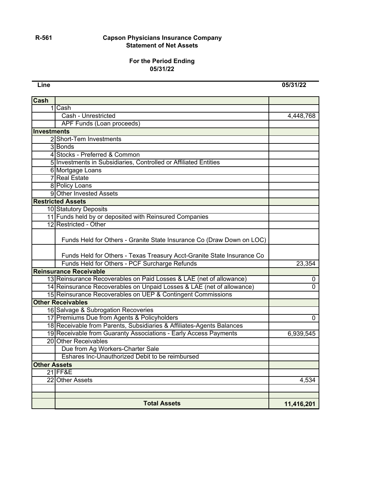#### **R-561 Capson Physicians Insurance Company Statement of Net Assets**

#### **For the Period Ending 05/31/22**

**Line 05/31/22**

| <b>Cash</b>         |                                                                                                                                                 |            |  |  |  |  |
|---------------------|-------------------------------------------------------------------------------------------------------------------------------------------------|------------|--|--|--|--|
|                     | 1ICash                                                                                                                                          |            |  |  |  |  |
|                     | <b>Cash - Unrestricted</b>                                                                                                                      | 4,448,768  |  |  |  |  |
|                     | <b>APF Funds (Loan proceeds)</b>                                                                                                                |            |  |  |  |  |
| Investments         |                                                                                                                                                 |            |  |  |  |  |
|                     | 2 Short-Tem Investments                                                                                                                         |            |  |  |  |  |
|                     | 3 Bonds                                                                                                                                         |            |  |  |  |  |
|                     | 4 Stocks - Preferred & Common                                                                                                                   |            |  |  |  |  |
|                     | 5 Investments in Subsidiaries, Controlled or Affiliated Entities                                                                                |            |  |  |  |  |
|                     | 6 Mortgage Loans                                                                                                                                |            |  |  |  |  |
|                     | <b>7</b> Real Estate                                                                                                                            |            |  |  |  |  |
|                     | 8 Policy Loans                                                                                                                                  |            |  |  |  |  |
|                     | 9 Other Invested Assets                                                                                                                         |            |  |  |  |  |
|                     | <b>Restricted Assets</b>                                                                                                                        |            |  |  |  |  |
|                     | 10 Statutory Deposits                                                                                                                           |            |  |  |  |  |
|                     | 11 Funds held by or deposited with Reinsured Companies                                                                                          |            |  |  |  |  |
|                     | 12 Restricted - Other                                                                                                                           |            |  |  |  |  |
|                     | Funds Held for Others - Granite State Insurance Co (Draw Down on LOC)<br>Funds Held for Others - Texas Treasury Acct-Granite State Insurance Co |            |  |  |  |  |
|                     | Funds Held for Others - PCF Surcharge Refunds                                                                                                   | 23,354     |  |  |  |  |
|                     | <b>Reinsurance Receivable</b>                                                                                                                   |            |  |  |  |  |
|                     | 13 Reinsurance Recoverables on Paid Losses & LAE (net of allowance)                                                                             | 0          |  |  |  |  |
|                     | 14 Reinsurance Recoverables on Unpaid Losses & LAE (net of allowance)                                                                           | $\Omega$   |  |  |  |  |
|                     | 15 Reinsurance Recoverables on UEP & Contingent Commissions                                                                                     |            |  |  |  |  |
|                     | <b>Other Receivables</b>                                                                                                                        |            |  |  |  |  |
|                     | 16 Salvage & Subrogation Recoveries                                                                                                             |            |  |  |  |  |
|                     | 17 Premiums Due from Agents & Policyholders                                                                                                     | 0          |  |  |  |  |
|                     | 18 Receivable from Parents, Subsidiaries & Affiliates-Agents Balances                                                                           |            |  |  |  |  |
|                     | 19 Receivable from Guaranty Associations - Early Access Payments                                                                                | 6,939,545  |  |  |  |  |
|                     | 20 Other Receivables                                                                                                                            |            |  |  |  |  |
|                     | Due from Ag Workers-Charter Sale                                                                                                                |            |  |  |  |  |
|                     | Eshares Inc-Unauthorized Debit to be reimbursed                                                                                                 |            |  |  |  |  |
| <b>Other Assets</b> |                                                                                                                                                 |            |  |  |  |  |
|                     | <b>21 FF&amp;E</b>                                                                                                                              |            |  |  |  |  |
|                     | 22 Other Assets                                                                                                                                 | 4,534      |  |  |  |  |
|                     |                                                                                                                                                 |            |  |  |  |  |
|                     |                                                                                                                                                 |            |  |  |  |  |
|                     | <b>Total Assets</b>                                                                                                                             | 11,416,201 |  |  |  |  |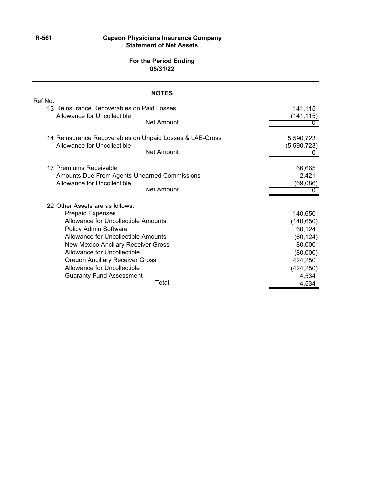#### **R-561 Capson Physicians Insurance Company Statement of Net Assets**

#### **For the Period Ending 05/31/22**

| <b>NOTES</b>                                                                            |                          |
|-----------------------------------------------------------------------------------------|--------------------------|
| Ref No.<br>13 Reinsurance Recoverables on Paid Losses<br>Allowance for Uncollectible    | 141,115<br>(141,115)     |
| <b>Net Amount</b>                                                                       |                          |
| 14 Reinsurance Recoverables on Unpaid Losses & LAE-Gross<br>Allowance for Uncollectible | 5,590,723<br>(5,590,723) |
| <b>Net Amount</b>                                                                       |                          |
| 17 Premiums Receivable                                                                  | 66,665                   |
| Amounts Due From Agents-Unearned Commissions<br>Allowance for Uncollectible             | 2,421<br>(69,086)        |
| <b>Net Amount</b>                                                                       |                          |
| 22 Other Assets are as follows:                                                         |                          |
| <b>Prepaid Expenses</b>                                                                 | 140,650                  |
| Allowance for Uncollectible Amounts<br>Policy Admin Software                            | (140, 650)<br>60,124     |
| Allowance for Uncollectible Amounts                                                     | (60, 124)                |
| New Mexico Ancillary Receiver Gross                                                     | 80,000                   |
| Allowance for Uncollectible                                                             | (80,000)                 |
| <b>Oregon Ancillary Receiver Gross</b>                                                  | 424,250                  |
| Allowance for Uncollectible                                                             | (424, 250)               |
| <b>Guaranty Fund Assessment</b>                                                         | 4,534                    |
| Total                                                                                   | 4,534                    |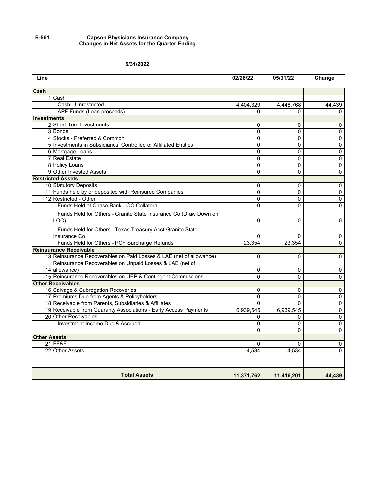#### **R-561 Capson Physicians Insurance Company Changes in Net Assets for the Quarter Ending**

#### **5/31/2022**

| Line                |                                                                     | 02/28/22       | 05/31/22     | Change         |
|---------------------|---------------------------------------------------------------------|----------------|--------------|----------------|
| <b>Cash</b>         |                                                                     |                |              |                |
|                     | 1 Cash                                                              |                |              |                |
|                     | Cash - Unrestricted                                                 | 4,404,329      | 4,448,768    | 44,439         |
|                     | APF Funds (Loan proceeds)                                           | 0              | <sup>0</sup> | 0              |
| <b>Investments</b>  |                                                                     |                |              |                |
|                     | 2 Short-Tem Investments                                             | 0              | 0            | 0              |
|                     | 3 Bonds                                                             | $\Omega$       | $\Omega$     | 0              |
|                     | 4 Stocks - Preferred & Common                                       | $\Omega$       | $\Omega$     | $\overline{0}$ |
|                     | 5 Investments in Subsidiaries, Controlled or Affiliated Entities    | $\Omega$       | $\Omega$     | 0              |
|                     | 6 Mortgage Loans                                                    | 0              | 0            | 0              |
|                     | 7 Real Estate                                                       | 0              | 0            | 0              |
|                     | 8 Policy Loans                                                      | $\Omega$       | $\Omega$     | 0              |
|                     | 9 Other Invested Assets                                             | 0              | $\Omega$     | 0              |
|                     | <b>Restricted Assets</b>                                            |                |              |                |
|                     | 10 Statutory Deposits                                               | $\Omega$       | $\Omega$     | $\overline{0}$ |
|                     | 11 Funds held by or deposited with Reinsured Companies              | $\Omega$       | $\Omega$     | $\overline{0}$ |
|                     | 12 Restricted - Other                                               | $\Omega$       | $\Omega$     | $\overline{0}$ |
|                     | Funds Held at Chase Bank-LOC Collateral                             | 0              | 0            | 0              |
|                     | Funds Held for Others - Granite State Insurance Co (Draw Down on    |                |              |                |
|                     | LOC)                                                                | 0              | $\Omega$     | 0              |
|                     | Funds Held for Others - Texas Treasury Acct-Granite State           |                |              |                |
|                     | Insurance Co                                                        | 0              | 0            | 0              |
|                     | Funds Held for Others - PCF Surcharge Refunds                       | 23,354         | 23,354       | $\Omega$       |
|                     | <b>Reinsurance Receivable</b>                                       |                |              |                |
|                     | 13 Reinsurance Recoverables on Paid Losses & LAE (net of allowance) | $\Omega$       | $\Omega$     | 0              |
|                     | Reinsurance Recoverables on Unpaid Losses & LAE (net of             |                |              |                |
|                     | 14 allowance)                                                       | 0              | 0            | 0              |
|                     | 15 Reinsurance Recoverables on UEP & Contingent Commissions         | $\overline{0}$ | $\Omega$     | 0              |
|                     | <b>Other Receivables</b>                                            |                |              |                |
|                     | 16 Salvage & Subrogation Recoveries                                 | 0              | $\Omega$     | 0              |
|                     | 17 Premiums Due from Agents & Policyholders                         | $\Omega$       | $\Omega$     | $\overline{0}$ |
|                     | 18 Receivable from Parents, Subsidiaries & Affiliates               | $\Omega$       | $\Omega$     | $\overline{0}$ |
|                     | 19 Receivable from Guaranty Associations - Early Access Payments    | 6,939,545      | 6,939,545    | $\overline{0}$ |
|                     | 20 Other Receivables                                                | 0              | 0            | 0              |
|                     | Investment Income Due & Accrued                                     | $\Omega$       | $\Omega$     | $\overline{0}$ |
|                     |                                                                     | $\Omega$       | $\Omega$     | 0              |
| <b>Other Assets</b> |                                                                     |                |              |                |
|                     | 21 FF&E                                                             | $\Omega$       | 0            | 0              |
|                     | 22 Other Assets                                                     | 4.534          | 4,534        | $\Omega$       |
|                     |                                                                     |                |              |                |
|                     |                                                                     |                |              |                |
|                     | <b>Total Assets</b>                                                 | 11,371,762     | 11,416,201   | 44,439         |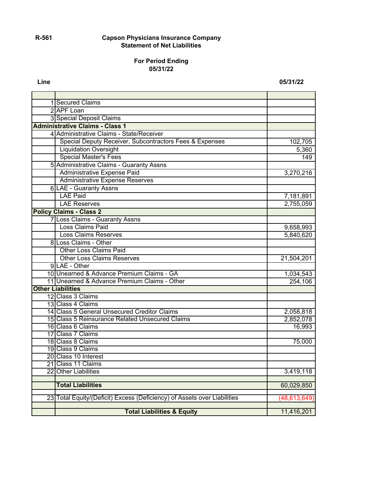#### **R-561 Capson Physicians Insurance Company Statement of Net Liabilities**

#### **For Period Ending 05/31/22**

**Line 05/31/22**

| 1 Secured Claims                                                         |                |
|--------------------------------------------------------------------------|----------------|
| 2 APF Loan                                                               |                |
| 3 Special Deposit Claims                                                 |                |
| <b>Administrative Claims - Class 1</b>                                   |                |
| 4 Administrative Claims - State/Receiver                                 |                |
| Special Deputy Receiver, Subcontractors Fees & Expenses                  | 102,705        |
| <b>Liquidation Oversight</b>                                             | 5,360          |
| <b>Special Master's Fees</b>                                             | 149            |
| 5 Administrative Claims - Guaranty Assns                                 |                |
| Administrative Expense Paid                                              | 3,270,216      |
| <b>Administrative Expense Reserves</b>                                   |                |
| <b>6 LAE - Guaranty Assns</b>                                            |                |
| <b>LAE Paid</b>                                                          | 7,181,891      |
| <b>LAE Reserves</b>                                                      | 2,755,059      |
| <b>Policy Claims - Class 2</b>                                           |                |
| 7 Loss Claims - Guaranty Assns                                           |                |
| Loss Claims Paid                                                         | 9,658,993      |
| <b>Loss Claims Reserves</b>                                              | 5,840,620      |
| 8 Loss Claims - Other                                                    |                |
| <b>Other Loss Claims Paid</b>                                            |                |
| <b>Other Loss Claims Reserves</b>                                        | 21,504,201     |
| 9 LAE - Other                                                            |                |
| 10 Unearned & Advance Premium Claims - GA                                | 1,034,543      |
| 11 Unearned & Advance Premium Claims - Other                             | 254,106        |
| <b>Other Liabilities</b>                                                 |                |
| 12 Class 3 Claims                                                        |                |
| 13 Class 4 Claims                                                        |                |
| 14 Class 5 General Unsecured Creditor Claims                             | 2,058,818      |
| 15 Class 5 Reinsurance Related Unsecured Claims                          | 2,852,078      |
| 16 Class 6 Claims                                                        | 16,993         |
| 17 Class 7 Claims                                                        |                |
| 18 Class 8 Claims                                                        | 75,000         |
| 19 Class 9 Claims                                                        |                |
| 20 Class 10 Interest                                                     |                |
| 21 Class 11 Claims                                                       |                |
| 22 Other Liabilities                                                     | 3,419,118      |
| <b>Total Liabilities</b>                                                 | 60,029,850     |
|                                                                          |                |
| 23 Total Equity/(Deficit) Excess (Deficiency) of Assets over Liabilities | (48, 613, 649) |
|                                                                          |                |
| <b>Total Liabilities &amp; Equity</b>                                    | 11,416,201     |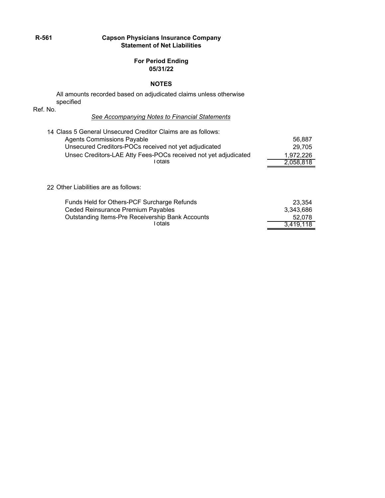#### **R-561 Capson Physicians Insurance Company Statement of Net Liabilities**

#### **For Period Ending 05/31/22**

#### **NOTES**

All amounts recorded based on adjudicated claims unless otherwise specified

Ref. No.

#### *See Accompanying Notes to Financial Statements*

| 14 Class 5 General Unsecured Creditor Claims are as follows:    |           |
|-----------------------------------------------------------------|-----------|
| Agents Commissions Payable                                      | 56,887    |
| Unsecured Creditors-POCs received not yet adjudicated           | 29,705    |
| Unsec Creditors-LAE Atty Fees-POCs received not yet adjudicated | 1,972,226 |
| Totals                                                          | 2,058,818 |
| 22 Other Liabilities are as follows:                            |           |
| Funds Held for Others-PCF Surcharge Refunds                     | 23 354    |

| Funds Held for Others-PCF Surcharge Refunds             | 23.354    |
|---------------------------------------------------------|-----------|
| Ceded Reinsurance Premium Payables                      | 3.343.686 |
| <b>Outstanding Items-Pre Receivership Bank Accounts</b> | 52.078    |
| ⊺otals                                                  | 3.419.118 |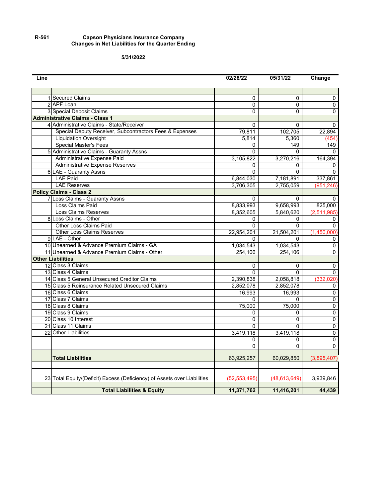#### **R-561 Capson Physicians Insurance Company Changes in Net Liabilities for the Quarter Ending**

**5/31/2022**

| Line |                                                                          | 02/28/22       | 05/31/22       | Change         |
|------|--------------------------------------------------------------------------|----------------|----------------|----------------|
|      |                                                                          |                |                |                |
|      | 1 Secured Claims                                                         | 0              | 0              | 0              |
|      | 2 APF Loan                                                               | $\overline{0}$ | 0              | $\overline{0}$ |
|      | 3 Special Deposit Claims                                                 | 0              | 0              | 0              |
|      | <b>Administrative Claims - Class 1</b>                                   |                |                |                |
|      | 4 Administrative Claims - State/Receiver                                 | 0              | 0              | 0              |
|      | Special Deputy Receiver, Subcontractors Fees & Expenses                  | 79,811         | 102,705        | 22,894         |
|      | <b>Liquidation Oversight</b>                                             | 5,814          | 5,360          | (454           |
|      | <b>Special Master's Fees</b>                                             | 0              | 149            | 149            |
|      | 5 Administrative Claims - Guaranty Assns                                 | $\Omega$       | $\Omega$       | $\Omega$       |
|      | Administrative Expense Paid                                              | 3,105,822      | 3,270,216      | 164,394        |
|      | Administrative Expense Reserves                                          | 0              | $\Omega$       | 0              |
|      | 6 LAE - Guaranty Assns                                                   | 0              | $\overline{0}$ | $\Omega$       |
|      | <b>LAE Paid</b>                                                          | 6,844,030      | 7,181,891      | 337,861        |
|      | <b>LAE Reserves</b>                                                      | 3,706,305      | 2,755,059      | (951, 246)     |
|      | <b>Policy Claims - Class 2</b>                                           |                |                |                |
|      | 7 Loss Claims - Guaranty Assns                                           | $\Omega$       | $\Omega$       | $\Omega$       |
|      | Loss Claims Paid                                                         | 8,833,993      | 9,658,993      | 825,000        |
|      | <b>Loss Claims Reserves</b>                                              | 8,352,605      | 5,840,620      | (2,511,985)    |
|      | 8 Loss Claims - Other                                                    | $\Omega$       | 0              | 0              |
|      | <b>Other Loss Claims Paid</b>                                            | 0              | 0              | 0              |
|      | <b>Other Loss Claims Reserves</b>                                        | 22,954,201     | 21,504,201     | (1,450,000)    |
|      | 9LAE - Other                                                             | 0              | $\Omega$       | 0              |
|      | 10 Unearned & Advance Premium Claims - GA                                | 1,034,543      | 1,034,543      | 0              |
|      | 11 Unearned & Advance Premium Claims - Other                             | 254,106        | 254,106        | 0              |
|      | <b>Other Liabilities</b>                                                 |                |                |                |
|      | 12 Class 3 Claims                                                        | 0              | $\Omega$       | $\mathbf 0$    |
|      | 13 Class 4 Claims                                                        | $\Omega$       | $\Omega$       | $\overline{0}$ |
|      | 14 Class 5 General Unsecured Creditor Claims                             | 2,390,838      | 2,058,818      | (332, 020)     |
|      | 15 Class 5 Reinsurance Related Unsecured Claims                          | 2,852,078      | 2,852,078      | 0              |
|      | 16 Class 6 Claims                                                        | 16,993         | 16,993         | $\overline{0}$ |
|      | 17 Class 7 Claims                                                        | 0              | $\Omega$       | $\overline{0}$ |
|      | 18 Class 8 Claims                                                        | 75,000         | 75,000         | $\overline{0}$ |
|      | 19 Class 9 Claims                                                        | 0              | 0              | $\overline{0}$ |
|      | 20 Class 10 Interest                                                     | 0              | 0              | $\overline{0}$ |
|      | 21 Class 11 Claims                                                       | $\Omega$       | $\Omega$       | 0              |
|      | 22 Other Liabilities                                                     | 3,419,118      | 3,419,118      | 0              |
|      |                                                                          | 0              | $\Omega$       | 0              |
|      |                                                                          | 0              | $\Omega$       | 0              |
|      | <b>Total Liabilities</b>                                                 | 63,925,257     | 60,029,850     | (3,895,407)    |
|      |                                                                          |                |                |                |
|      | 23 Total Equity/(Deficit) Excess (Deficiency) of Assets over Liabilities | (52, 553, 495) | (48, 613, 649) | 3,939,846      |
|      |                                                                          |                |                |                |
|      | <b>Total Liabilities &amp; Equity</b>                                    | 11,371,762     | 11,416,201     | 44,439         |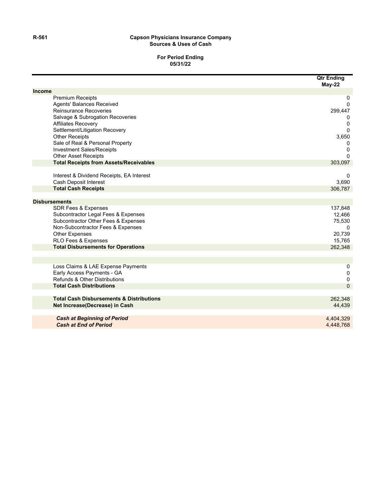#### **R-561 Capson Physicians Insurance Company Sources & Uses of Cash**

#### **For Period Ending 05/31/22**

**Qtr Ending**

|                                                     | Qtr Enaing<br>$May-22$ |
|-----------------------------------------------------|------------------------|
| <b>Income</b>                                       |                        |
| <b>Premium Receipts</b>                             | 0                      |
| Agents' Balances Received                           | $\mathbf 0$            |
| <b>Reinsurance Recoveries</b>                       | 299,447                |
| Salvage & Subrogation Recoveries                    | 0                      |
| Affiliates Recovery                                 | 0                      |
| Settlement/Litigation Recovery                      | $\Omega$               |
| <b>Other Receipts</b>                               | 3,650                  |
| Sale of Real & Personal Property                    | 0                      |
| <b>Investment Sales/Receipts</b>                    | $\mathbf 0$            |
| <b>Other Asset Receipts</b>                         | 0                      |
| <b>Total Receipts from Assets/Receivables</b>       | 303,097                |
| Interest & Dividend Receipts, EA Interest           | 0                      |
| Cash Deposit Interest                               | 3,690                  |
| <b>Total Cash Receipts</b>                          | 306,787                |
| <b>Disbursements</b>                                |                        |
| <b>SDR Fees &amp; Expenses</b>                      | 137,848                |
| Subcontractor Legal Fees & Expenses                 | 12,466                 |
| Subcontractor Other Fees & Expenses                 | 75,530                 |
| Non-Subcontractor Fees & Expenses                   | $\Omega$               |
| <b>Other Expenses</b>                               | 20,739                 |
| RLO Fees & Expenses                                 | 15,765                 |
| <b>Total Disbursements for Operations</b>           | 262,348                |
|                                                     |                        |
| Loss Claims & LAE Expense Payments                  | 0                      |
| Early Access Payments - GA                          | $\mathbf 0$            |
| Refunds & Other Distributions                       | $\boldsymbol{0}$       |
| <b>Total Cash Distributions</b>                     | $\overline{0}$         |
| <b>Total Cash Disbursements &amp; Distributions</b> | 262,348                |
| Net Increase(Decrease) in Cash                      | 44,439                 |
| <b>Cash at Beginning of Period</b>                  | 4,404,329              |
| <b>Cash at End of Period</b>                        | 4,448,768              |